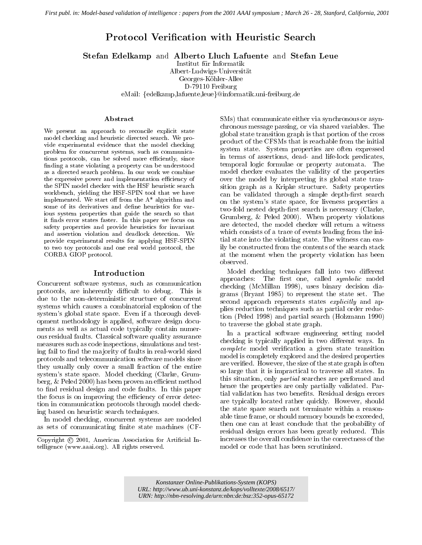# Protocol Verication with Heuristic Search

Stefan Edelkamp and Alberto Lluch Lafuente and Stefan Leue

Institut fur Informatik

Albert-Ludwigs-Universitat

Georges-Köhler-Allee

D-79110 Freiburg

eMail: {edelkamp,lafuente,leue}@informatik.uni-freiburg.de

We present an approach to reconcile explicit state model checking and heuristic directed search. We provide experimental evidence that the model checking problem for concurrent systems, such as communications protocols, can be solved more efficiently, since nding a state violating a property can be understood as a directed search problem. In our work we combine the expressive power and implementation efficiency of the SPIN model checker with the HSF heuristic search workbench, yielding the HSF-SPIN tool that we have implemented. We start off from the  $A^*$  algorithm and some of its derivatives and define heuristics for various system properties that guide the search so that it finds error states faster. In this paper we focus on safety properties and provide heuristics for invariant and assertion violation and deadlock detection. We provide experimental results for applying HSF-SPIN to two toy protocols and one real world protocol, the CORBA GIOP protocol.

Concurrent software systems, such as communication protocols, are inherently difficult to debug. This is due to the non-deterministic structure of concurrent systems which causes a combinatorial explosion of the system's global state space. Even if a thorough development methodology is applied, software design documents as well as actual code typically contain numerous residual faults. Classical software quality assurance measures such as code inspections, simulations and testing fail to find the majority of faults in real-world sized protocols and telecommunication software models since they usually only cover a small fraction of the entire system's state space. Model checking (Clarke, Grumberg, & Peled 2000) has been proven an efficient method to find residual design and code faults. In this paper the focus is on improving the efficiency of error detection in communication protocols through model checking based on heuristic search techniques.

In model checking, concurrent systems are modeled as sets of communicating finite state machines (CF-

SMs) that communicate either via synchronous or asynchronous message passing, or via shared variables. The global state transition graph is that portion of the cross product of the CFSMs that is reachable from the initial system state. System properties are often expressed in terms of assertions, dead- and life-lock predicates, temporal logic formulae or property automata. The model checker evaluates the validity of the properties over the model by interpreting its global state transition graph as a Kripke structure. Safety properties can be validated through a simple depth-first search on the system's state space, for liveness properties a two-fold nested depth-first search is necessary (Clarke, Grumberg, & Peled 2000). When property violations are detected, the model checker will return a witness which consists of a trace of events leading from the initial state into the violating state. The witness can easily be constructed from the contents of the search stack at the moment when the property violation has been observed.

Model checking techniques fall into two different  $approaches:$  The first one, called  $symbolic$  model checking (McMillan 1998), uses binary decision diagrams (Bryant 1985) to represent the state set. The second approach represents states *explicitly* and applies reduction techniques such as partial order reduction (Peled 1998) and partial search (Holzmann 1990) to traverse the global state graph.

In a practical software engineering setting model checking is typically applied in two different ways. In complete model verification a given state transition model is completely explored and the desired properties are veried. However, the size of the state graph is often so large that it is impractical to traverse all states. In this situation, only partial searches are performed and hence the properties are only partially validated. Partial validation has two benefits. Residual design errors are typically located rather quickly. However, should the state space search not terminate within a reasonable time frame, or should memory bounds be exceeded, then one can at least conclude that the probability of residual design errors has been greatly reduced. This increases the overall confidence in the correctness of the model or code that has been scrutinized.

*Konstanzer Online-Publikations-System (KOPS) URL: <http://www.ub.uni-konstanz.de/kops/volltexte/2008/6517/> URN:<http://nbn-resolving.de/urn:nbn:de:bsz:352-opus-65172>*

Copyright © 2001, American Association for Artificial Intelligence (www.aaai.org). All rights reserved.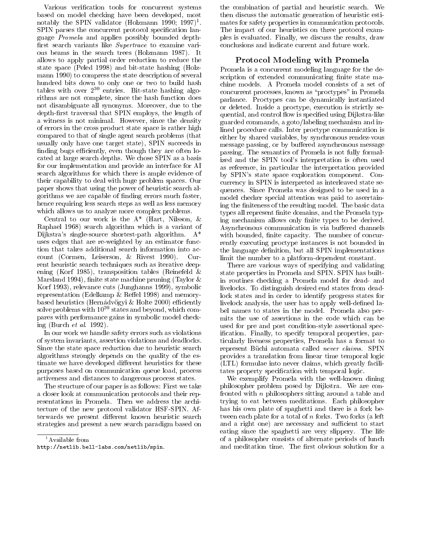Various verification tools for concurrent systems based on model checking have been developed, most  $\rm{magn}$  the SPIN validator (Holzmann 1990; 1997). SPIN parses the concurrent protocol specification language Promela and applies possibly bounded depth first search variants like Supertrace to examine various beams in the search trees (Holzmann 1987). It allows to apply partial order reduction to reduce the state space (Peled 1998) and bit-state hashing (Holzmann 1990) to compress the state description of several hundred bits down to only one or two to build hash tables with over  $2^{30}$  entries. Bit-state hashing algorithms are not complete, since the hash function does not disambiguate all synonyms. Moreover, due to the depth-first traversal that SPIN employs, the length of a witness is not minimal. However, since the density of errors in the cross product state space is rather high compared to that of single agent search problems (that usually only have one target state), SPIN succeeds in finding bugs efficiently, even though they are often located at large search depths. We chose SPIN as a basis for our implementation and provide an interface for AI search algorithms for which there is ample evidence of their capability to deal with huge problem spaces. Our paper shows that using the power of heuristic search algorithms we are capable of nding errors much faster, hence requiring less search steps as well as less memory which allows us to analyze more complex problems.

Central to our work is the A\* (Hart, Nilsson, & Raphael 1968) search algorithm which is a variant of Dijkstra's single-source shortest-path algorithm. A\* uses edges that are re-weighted by an estimator function that takes additional search information into account (Cormen, Leiserson, & Rivest 1990). Current heuristic search techniques such as iterative deepening (Korf 1985), transposition tables (Reinefeld & Marsland 1994), finite state machine pruning (Taylor  $&$ Korf 1993), relevance cuts (Junghanns 1999), symbolic representation (Edelkamp  $&$  Reffel 1998) and memorybased heuristics (Hernádvögyi & Holte 2000) efficiently solve problems with 10<sup>20</sup> states and beyond, which compares with performance gains in symbolic model checking (Burch et al. 1992).

In our work we handle safety errors such as violations of system invariants, assertion violations and deadlocks. Since the state space reduction due to heuristic search algorithms strongly depends on the quality of the estimate we have developed different heuristics for these purposes based on communication queue load, process activeness and distances to dangerous process states.

The structure of our paper is as follows: First we take a closer look at communication protocols and their representations in Promela. Then we address the architecture of the new protocol validator HSF-SPIN. Afterwards we present different known heuristic search strategies and present a new search paradigm based on

the combination of partial and heuristic search. We then discuss the automatic generation of heuristic estimates for safety properties in communication protocols. The impact of our heuristics on three protocol examples is evaluated. Finally, we discuss the results, draw conclusions and indicate current and future work.

### Protocol Modeling with Promela

Promela is a concurrent modeling language for the description of extended communicating finite state machine models. A Promela model consists of a set of concurrent processes, known as \proctypes" in Promela parlance. Proctypes can be dynamically instantiated or deleted. Inside a proctype, execution is strictly sequential, and control flow is specified using Dijkstra-like guarded commands, a goto/labeling mechanism and inlined procedure calls. Inter proctype communication is either by shared variables, by synchronous rendez-vous message passing, or by buffered asynchronous message passing. The semantics of Promela is not fully formalized and the SPIN tool's interpretation is often used as reference, in particular the interpretation provided by SPIN's state space exploration component. Concurrency in SPIN is interpreted as interleaved state sequences. Since Promela was designed to be used in a model checker special attention was paid to ascertaining the finiteness of the resulting model. The basic data types all represent finite domains, and the Promela typing mechanism allows only finite types to be derived. Asynchronous communication is via buffered channels with bounded, finite capacity. The number of concurrently executing proctype instances is not bounded in the language definition, but all SPIN implementations limit the number to a platform-dependent constant.

There are various ways of specifying and validating state properties in Promela and SPIN. SPIN has builtin routines checking a Promela model for dead- and livelocks. To distinguish desired end states from deadlock states and in order to identify progress states for livelock analysis, the user has to apply well-defined label names to states in the model. Promela also permits the use of assertions in the code which can be used for pre and post condition-style assertional specification. Finally, to specify temporal properties, particularly liveness properties, Promela has a format to represent Büchi automata called never claims. SPIN provides a translation from linear time temporal logic (LTL) formulae into never claims, which greatly facilitates property specification with temporal logic.

We exemplify Promela with the well-known dining philosopher problem posed by Dijkstra. We are confronted with <sup>n</sup> philosophers sitting around a table and trying to eat between meditations. Each philosopher has his own plate of spaghetti and there is a fork between each plate for a total of <sup>n</sup> forks. Two forks (a left and a right one) are necessary and sufficient to start eating since the spaghetti are very slippery. The life of a philosopher consists of alternate periods of lunch and meditation time. The first obvious solution for a

 $1$ Available from

http://netlib.bell-labs.com/netlib/spin.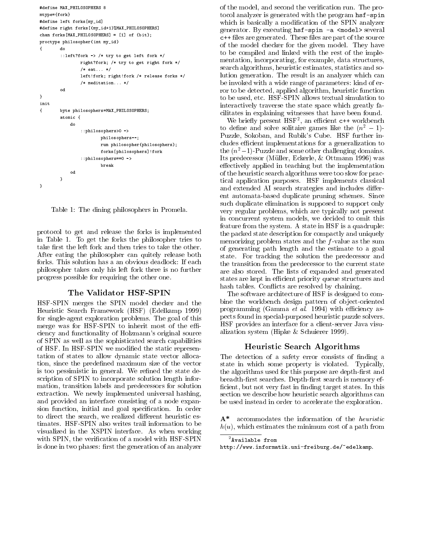```
#define MAX_PHILOSOPHERS 8
mtype={fork}
#define left forks[my_id]
#define right forks[(my_id+1)%MAX_PHILOSOPHERS]
chan forks[MAX_PHILOSOPHERS] = [1] of {bit};
proctype philosopher(int my_id)
{\bf x} do not a dominant contribution of {\bf x}::left?fork -> /* try to get left fork */
                right?fork; /* try to get right fork */
                 /* eat... */
                left!fork; right!fork /* release forks */
                 /* meditation... */
        \circd
}
init
{ byte philosophers=MAX_PHILOSOPHERS;
        atomic f
         atomic {
            d::philosophers>0 ->
                         philosophers--;
                         run philosopher(philosophers);
                         forks[philosophers]!fork
                 ::philosophers==0 ->
                         break
        }
}
```
Table 1: The dining philosophers in Promela.

protocol to get and release the forks is implemented in Table 1. To get the forks the philosopher tries to take first the left fork and then tries to take the other. After eating the philosopher can quitely release both forks. This solution has a an obvious deadlock: If each philosopher takes only his left fork there is no further progress possible for requiring the other one.

#### The Validator HSF-SPIN

HSF-SPIN merges the SPIN model checker and the Heuristic Search Framework (HSF) (Edelkamp 1999) for single-agent exploration problems. The goal of this merge was for HSF-SPIN to inherit most of the efficiency and functionality of Holzmann's original source of SPIN as well as the sophisticated search capabilities of HSF. In HSF-SPIN we modied the static representation of states to allow dynamic state vector allocation, since the predefined maximum size of the vector is too pessimistic in general. We refined the state description of SPIN to incorporate solution length information, transition labels and predecessors for solution extraction. We newly implemented universal hashing, and provided an interface consisting of a node expansion function, initial and goal specification. In order to direct the search, we realized different heuristic estimates. HSF-SPIN also writes trail information to be visualized in the XSPIN interface. As when working with SPIN, the verification of a model with HSF-SPIN is done in two phases: first the generation of an analyzer

of the model, and second the verication run. The protocol analyzer is generated with the program hsf-spin which is basically a modification of the SPIN analyzer generator. By executing hsf-spin -a <model> several  $\sim$  - the set are generated. The source are part of the source of the source of the source of the source of the source of the source of the source of the source of the source of the source of the source of the source of of the model checker for the given model. They have to be compiled and linked with the rest of the implementation, incorporating, for example, data structures, search algorithms, heuristic estimates, statistics and solution generation. The result is an analyzer which can be invoked with a wide range of parameters: kind of error to be detected, applied algorithm, heuristic function to be used, etc. HSF-SPIN allows textual simulation to interactively traverse the state space which greatly facilitates in explaining witnesses that have been found.

We briefly present  $\pi$ <sub>5</sub> r an emicient c++ workbench to define and solve solitaire games like the  $(n^2 - 1)$ -Puzzle, Sokoban, and Rubik's Cube. HSF further includes efficient implementations for a generalization to the  $(n^2-1)$ -Puzzle and some other challenging domains. Its predecessor (Muller, Eckerle, & Ottmann 1996) was effectively applied in teaching but the implementation of the heuristic search algorithms were too slow for practical application purposes. HSF implements classical and extended AI search strategies and includes different automata-based duplicate pruning schemes. Since such duplicate elimination is supposed to support only very regular problems, which are typically not present in concurrent system models, we decided to omit this feature from the system. A state in HSF is a quadruple: the packed state description for compactly and uniquely memorizing problem states and the  $f$ -value as the sum of generating path length and the estimate to a goal state. For tracking the solution the predecessor and the transition from the predecessor to the current state are also stored. The lists of expanded and generated states are kept in efficient priority queue structures and hash tables. Conflicts are resolved by chaining.

The software architecture of HSF is designed to combine the workbench design pattern of object-oriented programming (Gamma  $et$  al. 1994) with efficiency aspects found in special-purposed heuristic puzzle solvers. HSF provides an interface for a client-server Java visualization system (Hipke & Schuierer 1999).

#### Heuristic Search Algorithms

The detection of a safety error consists of finding a state in which some property is violated. Typically, the algorithms used for this purpose are depth-first and breadth-first searches. Depth-first search is memory efficient, but not very fast in finding target states. In this section we describe how heuristic search algorithms can be used instead in order to accelerate the exploration.

A\* accommodates the information of the heuristic  $h(u)$ , which estimates the minimum cost of a path from

```
^2Available from
```
http://www.informatik.uni-freiburg.de/~edelkamp.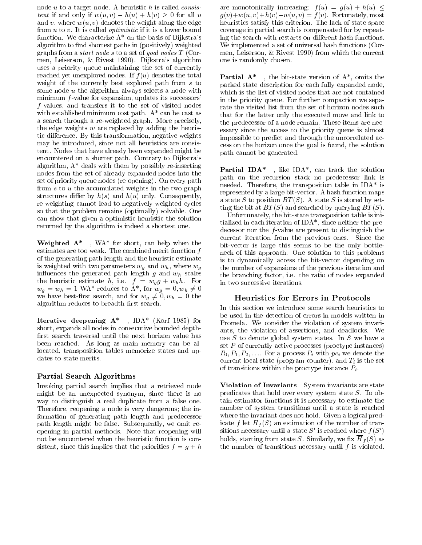node  $u$  to a target node. A heuristic  $h$  is called *consis*tent if and only if  $w(u, v) - h(u) + h(v) \geq 0$  for all u and v, where  $w(u, v)$  denotes the weight along the edge from  $u$  to  $v$ . It is called *optimistic* if it is a lower bound function. We characterize  $A^*$  on the basis of Dijkstra's algorithm to find shortest paths in (positively) weighted graphs from a start node <sup>s</sup> to a set of goal nodes <sup>T</sup> (Cormen, Leiserson, & Rivest 1990). Dijkstra's algorithm uses a priority queue maintaining the set of currently reached yet unexplored nodes. If  $f(u)$  denotes the total weight of the currently best explored path from <sup>s</sup> to some node <sup>u</sup> the algorithm always selects a node with minimum  $f$ -value for expansion, updates its successors' f -values, and transfers it to the set of visited nodes with established minimum cost path.  $A^*$  can be cast as a search through a re-weighted graph. More precisely, the edge weights  $w$  are replaced by adding the heuristic difference. By this transformation, negative weights may be introduced, since not all heuristics are consistent. Nodes that have already been expanded might be encountered on a shorter path. Contrary to Dijkstra's algorithm,  $A^*$  deals with them by possibly re-inserting nodes from the set of already expanded nodes into the set of priority queue nodes (re-opening). On every path from <sup>s</sup> to <sup>u</sup> the accumulated weights in the two graph structures differ by  $h(s)$  and  $h(u)$  only. Consequently, re-weighting cannot lead to negatively weighted cycles so that the problem remains (optimally) solvable. One can show that given a optimistic heuristic the solution returned by the algorithm is indeed a shortest one.

Weighted A\* , WA\* for short, can help when the estimates are too weak. The combined merit function  $f$ of the generating path length and the heuristic estimate is weighted with two parameters wg and w $\mu$  , where w $\mu$ in the generated path length  $g$  and  $\mu$  scales the scales of  $\mu$ the heuristic estimate h, i.e. <sup>f</sup> = wg <sup>g</sup> <sup>+</sup> whh. For  $w_q = w_h = 1$  WA\* reduces to A\*, for  $w_q = 0, w_h \neq 0$ we have best-first search, and for  $w_q \neq 0, w_h = 0$  the algorithm reduces to breadth-first search.

Iterative deepening  $A^*$ , IDA\* (Korf 1985) for short, expands all nodes in consecutive bounded depth first search traversal until the next horizon value has been reached. As long as main memory can be allocated, transposition tables memorize states and updates to state merits.

#### Partial Search Algorithms

Invoking partial search implies that a retrieved node might be an unexpected synonym, since there is no way to distinguish a real duplicate from a false one. Therefore, reopening a node is very dangerous; the information of generating path length and predecessor path length might be false. Subsequently, we omit reopening in partial methods. Note that reopening will not be encountered when the heuristic function is consistent, since this implies that the priorities  $f = g + h$ 

are monotonically increasing:  $f(u) = g(u) + h(u) \leq$  $g(v)+w(u, v)+h(v)-w(u, v) = f(v)$ . Fortunately, most heuristics satisfy this criterion. The lack of state space coverage in partial search is compensated for by repeating the search with restarts on different hash functions. We implemented a set of universal hash functions (Cormen, Leiserson, & Rivest 1990) from which the current one is randomly chosen.

**Partial A\***, the bit-state version of  $A^*$ , omits the packed state description for each fully expanded node, which is the list of visited nodes that are not contained in the priority queue. For further compaction we separate the visited list from the set of horizon nodes such that for the latter only the executed move and link to the predecessor of a node remain. These items are necessary since the access to the priority queue is almost impossible to predict and through the uncorrelated access on the horizon once the goal is found, the solution path cannot be generated.

Partial IDA\* , like IDA\*, can track the solution path on the recursion stack no predecessor link is needed. Therefore, the transposition table in IDA\* is represented by a large bit-vector. A hash function maps a state S to position  $BT(S)$ . A state S is stored by setting the bit at  $BT(S)$  and searched by querying  $BT(S)$ .

Unfortunately, the bit-state transposition table is initialized in each iteration of IDA\*, since neither the predecessor nor the  $f$ -value are present to distinguish the current iteration from the previous ones. Since the bit-vector is large this seems to be the only bottleneck of this approach. One solution to this problems is to dynamically access the bit-vector depending on the number of expansions of the previous iteration and the branching factor, i.e. the ratio of nodes expanded in two successive iterations.

#### Heuristics for Errors in Protocols

In this section we introduce some search heuristics to be used in the detection of errors in models written in Promela. We consider the violation of system invariants, the violation of assertions, and deadlocks. We use  $S$  to denote global system states. In  $S$  we have a set  $P$  of currently active processes (proctype instances)  $P_0, P_1, P_2, \ldots$  For a process  $P_i$  with  $pc_i$  we denote the current local state ( ) is the  $\alpha$  -current counter of  $\mu$  is the set of the set of  $\alpha$ of transitions within the proctype instance  $P_i$ .

Violation of Invariants System invariants are state predicates that hold over every system state  $S$ . To obtain estimator functions it is necessary to estimate the number of system transitions until a state is reached where the invariant does not hold. Given a logical pred $i$  let  $f$  and  $f$  and the number of the number of trainsitions necessary until a state  $S'$  is reached where  $f(S')$ holds, starting from state S.S. Similarly, we have set  $\{N\}$  and the number of transitions necessary until  $f$  is violated.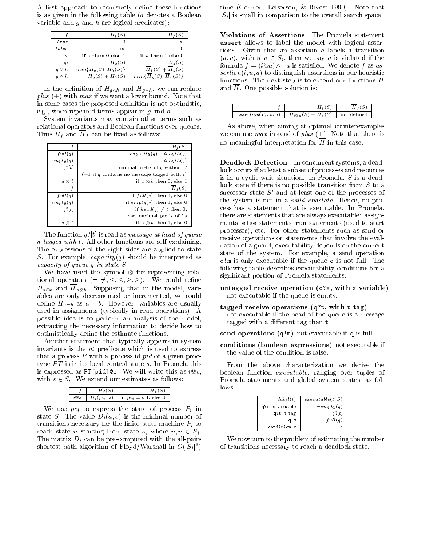A first approach to recursively define these functions is as given in the following table (a denotes a Boolean variable and  $g$  and  $h$  are logical predicates):

|              | $H_+(S)$                 |                                         |   |
|--------------|--------------------------|-----------------------------------------|---|
| true         | 0                        | $\infty$                                | а |
| false        | $\infty$                 |                                         |   |
| $\alpha$     | if $a$ then $0$ else $1$ | if $a$ then $1$ else $0$                |   |
| $\neg g$     | $\overline{H}_q(S)$      | $H_q(S)$                                |   |
| $g \vee h$   | $min{Hg(S), Hh(S)}$      | $\overline{H}_f(S) + \overline{H}_g(S)$ |   |
| $q \wedge h$ | $H_g(S) + H_h(S)$        | $min\{H_{\mathfrak{a}}(S),H_{h}(S)$     | S |

In the definition of  $H_{g\wedge h}$  and  $\overline{H}_{g\vee h}$ , we can replace  $plus (+)$  with max if we want a lower bound. Note that in some cases the proposed definition is not optimistic, e.g., when repeated terms appear in  $g$  and  $h$ .

System invariants may contain other terms such as relational operators and Boolean functions over queues. Thus Hf and Hf can be called as follows: The follows: The follows: The follows: The follows: The follows: The follows: The follows: The follows: The follows: The follows: The follows: The follows: The follows: The follows:

|               | $H_f(S)$                                      |
|---------------|-----------------------------------------------|
| full(q)       | $capacitu(a) = length(a)$                     |
| empty(q)      | length(q)                                     |
| $q^2[t]$      | minimal prefix of $q$ without $t$             |
|               | $(+1$ if q contains no message tagged with t) |
| $a \otimes b$ | if $a \otimes b$ then 0, else 1               |
|               | $H_*(S)$                                      |
| full(q)       | if $full(q)$ then 1, else 0                   |
| empty(q)      | if $empty(q)$ then 1, else 0                  |
| $q^2[t]$      | if $head(q) \neq t$ then 0,                   |
|               | else maximal prefix of t's                    |
| $a \otimes b$ | if $a \otimes b$ then 1, else 0               |

The function  $q'[t]$  is read as *message at head of queue* q tagged with t. The self-explaining are self-explained and self-explaining. The expressions of the right sides are applied to state S. For example,  $capacity(q)$  should be interpreted as

We have used the symbol  $\otimes$  for representing relational operators  $(=,\neq,\leq,\leq,\geq,\geq)$ . We could refine  $H_{a\otimes b}$  and  $H_{a\otimes b}$ . Supposing that in the model, valiables are only decremented or incremented, we could define  $H_{a=b}$  as  $a-b$ . However, variables are usually used in assignments (typically in read operations). A possible idea is to perform an analysis of the model, extracting the necessary information to decide how to optimistically define the estimate functions.

Another statement that typically appears in system invariants is the at predicate which is used to express that a process  $P$  with a process id  $pid$  of a given proctype <sup>P</sup><sup>T</sup> is in its local control state s. In Promela this is expressed as PT[pid]@s. We will write this as  $i@s$ , with  $s \in S_i$ . We extend our estimates as follows:

|  | $D_i(pc_i, s)$ if $pc_i = s$ 1, else 0 |
|--|----------------------------------------|

 $\mathcal{W}$  and  $\mathcal{W}$  is express the state of process  $\mathbf{r}_i$  in state S. The value  $D_i(u, v)$  is the minimal number of transitions are the stated  $\mu$  for the theory matrix states matrix  $\mu$  to  $\mu$ reach state u starting from state v, where  $u, v \in S_i$ .  $\blacksquare$  . The matrix  $\blacksquare$  ( ) and the pre-computed present with the all-pairs  $\blacksquare$ shortest-path algorithm of Floyd/Warshall in  $O(|S_i|^3)$ 

time (Cormen, Leiserson, & Rivest 1990). Note that  $|S_i|$  is small in comparison to the overall search space.

Violations of Assertions The Promela statement assert allows to label the model with logical assertions. Given that an assertion <sup>a</sup> labels a transition  $(u, v)$ , with  $u, v \in S_i$ , then we say a is violated if the formula  $f = (i@u) \wedge \neg a$  is satisfied. We denote f as as $setion(i, u, a)$  to distinguish assertions in our heuristic functions. The next step is to extend our functions  $H$ and  $\overline{H}$ . One possible solution is:

| $assertion(P_i, u, a)$ | $H_a(S)$<br>$H_{i@u}$<br>↩ |  |
|------------------------|----------------------------|--|

As above, when aiming at optimal counterexamples we can use *max* instead of *plus*  $(+)$ . Note that there is no meaningful interpretation for  $\overline{H}$  in this case.

Deadlock Detection In concurrent systems, a deadlock occurs if at least a subset of processes and resources is in a cyclic wait situation. In Promela, <sup>S</sup> is a deadlock state if there is no possible transition from <sup>S</sup> to a successor state  $S'$  and at least one of the processes of the system is not in a valid endstate. Hence, no process has a statement that is executable. In Promela, there are statements that are always executable: assignments, else statements, run statements (used to start processes), etc. For other statements such as send or receive operations or statements that involve the evaluation of a guard, executability depends on the current state of the system. For example, a send operation quest is only executed in the queue q is not function function of  $\mathcal{L}_\mathbf{X}$ following table describes executability conditions for a signicant portion of Promela statements:

- untagged receive operation (q?x, with <sup>x</sup> variable) not executable if the queue is empty.
- tagged receive operations (q?t, with <sup>t</sup> tag) not executable if the head of the queue is a message tagged with a different tag than t.

send operations (q!m) not executable if <sup>q</sup> is full.

conditions (boolean expressions) not executable if the value of the condition is false.

From the above characterization we derive the boolean function executable, ranging over tuples of Promela statements and global system states, as follows:

| label(t)<br>execute(t, S)      |                         |
|--------------------------------|-------------------------|
| q?x, x variable<br>$-empty(q)$ |                         |
| q?t, t tag                     | $q$ ? $\lceil t \rceil$ |
| q!m                            | $\neg full(q)$          |
| condition                      |                         |

We now turn to the problem of estimating the number of transitions necessary to reach a deadlock state.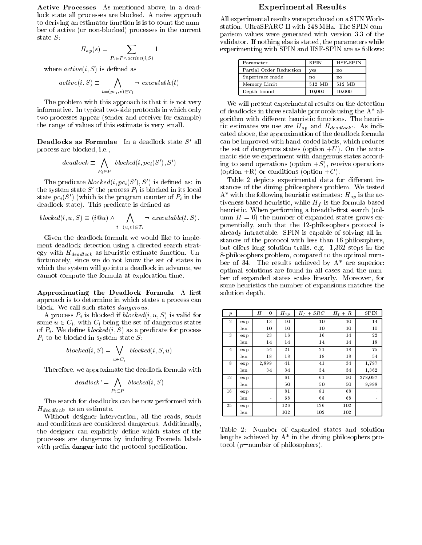Active Processes As mentioned above, in a deadlock state all processes are blocked. A naive approach to deriving an estimator function is is to count the number of active (or non-blocked) processes in the current

$$
H_{ap}(s) = \sum_{P_i \in P \wedge active(i,S)} 1
$$

where  $active(i, S)$  is defined as

$$
active(i, S) \equiv \bigwedge_{t = (pc_i, v) \in T_i} \neg\ \textit{execute}(t)
$$

The problem with this approach is that it is not very informative. In typical two-side protocols in which only two processes appear (sender and receiver for example) the range of values of this estimate is very small.

**Deadlocks as Formulae** In a deadlock state  $S'$  all process are blocked, i.e.,

$$
deadlock \equiv \bigwedge_{P_i \in P} \,block(i, pc_i(S'), S')
$$

The predicate  $blocked(i, pc_i(S'), S')$  is defined as: in the system state  $S'$  the process  $P_i$  is blocked in its local state  $pc_i(S')$  (which is the program counter of  $P_i$  in the  $\overline{P_i}$ deadlock state). This predicate is defined as

$$
blocked(i, u, S) \equiv (i@u) \land \bigwedge_{t=(u,v) \in T_i} \neg \; executable(t, S).
$$

Given the deadlock formula we would like to implement deadlock detection using a directed search strat- $\sim$ gy with Heuristic estimate function. Using  $\sim$ fortunately, since we do not know the set of states in which the system will go into a deadlock in advance, we cannot compute the formula at exploration time.

Approximating the Deadlock Formula A first approach is to determine in which states a process can block. We call such states dangerous.

A process  $P_i$  is blocked if blocked(i, u, S) is valid for some  $u \in C_i$ , with  $C_i$  being the set of dangerous states of  $P_i$ . We define *blocked* (i,  $\beta$ ) as a predicate for process Pi to be blocked in system state S:

$$
blocked(i, S) = \bigvee_{u \in C_i} \text{ blocked}(i, S, u)
$$

Therefore, we approximate the deadlock formula with

$$
deadlock' = \bigwedge_{P_i \in P} \, blocked(i, S)
$$

The search for deadlocks can be now performed with  $H_{deadlock'}$  as an estimate.

Without designer intervention, all the reads, sends and conditions are considered dangerous. Additionally, the designer can explicitly define which states of the processes are dangerous by including Promela labels with prefix danger into the protocol specification.

### Experimental Results

All experimental results were produced on a SUN Workstation, UltraSPARC-II with 248 MHz. The SPIN comparison values were generated with version 3.3 of the validator. If nothing else is stated, the parameters while experimenting with SPIN and HSF-SPIN are as follows:

| Parameter               | <b>SPIN</b> | HSF-SPIN |
|-------------------------|-------------|----------|
| Partial Order Reduction | yes         | no       |
| Supertrace mode         | no          | no       |
| Memory Limit            | 512 MB      | 512 MB   |
| Depth bound             | 10,000      | 10,000   |
|                         |             |          |

We will present experimental results on the detection of deadlocks in three scalable protocols using the A\* algorithm with different heuristic functions. The heuris- $\ldots$  estimates we use  $\ldots$   $\ldots$   $\ldots$   $\ldots$   $\ldots$   $\ldots$ cated above, the approximation of the deadlock formula can be improved with hand-coded labels, which reduces the set of dangerous states (option  $+U$ ). On the automatic side we experiment with dangerous states according to send operations (option  $+S$ ), receive operations (option  $+R$ ) or conditions (option  $+C$ ).

Table 2 depicts experimental data for different instances of the dining philosophers problem. We tested  $\mathcal{A}^{\mathcal{A}}$  with the following the following estimates: Happen is the action of activeness based heuristic, while Hf is the formula based heuristic. When performing a breadth-first search (column  $H = 0$ ) the number of expanded states grows exponentially, such that the 12-philosophers protocol is already intractable. SPIN is capable of solving all instances of the protocol with less than 16 philosophers, but offers long solution trails, e.g.  $1,362$  steps in the 8-philosophers problem, compared to the optimal number of 34. The results achieved by  $A^*$  are superior: optimal solutions are found in all cases and the number of expanded states scales linearly. Moreover, for some heuristics the number of expansions matches the solution depth.

| $\boldsymbol{p}$ |      | $H=0$          | $H_{ap}$ | $H_f + SRC$ | $H_f+R$ | <b>SPIN</b>                  |
|------------------|------|----------------|----------|-------------|---------|------------------------------|
| $\overline{2}$   | ex p | 13             | 10       | 10          | 10      | 14                           |
|                  | len  | 10             | 10       | 10          | 10      | 10                           |
| 3                | ex p | 23             | 16       | 16          | 14      | 22                           |
|                  | len  | 14             | 14       | 14          | 14      | 18                           |
| $\overline{4}$   | ex p | 54             | 21       | 21          | 18      | 75                           |
|                  | len  | 18             | 18       | 18          | 18      | 54                           |
| 8                | ex p | 2,899          | 41       | 41          | 34      | 1,797                        |
|                  | len  | 34             | 34       | 34          | 34      | 1,362                        |
| 12               | ex p | ۰              | 61       | 61          | 50      | 278,097                      |
|                  | len  | $\blacksquare$ | 50       | 50          | 50      | 9,998                        |
| 16               | ex p | ۰              | 81       | 81          | 68      | $\blacksquare$               |
|                  | len  | $\blacksquare$ | 68       | 68          | 68      | $\qquad \qquad \blacksquare$ |
| 25               | ex p | ۰              | 126      | 126         | 102     | $\blacksquare$               |
|                  | len  | ۰              | 102      | 102         | 102     | $\qquad \qquad \blacksquare$ |

Table 2: Number of expanded states and solution lengths achieved by  $A^*$  in the dining philosophers protocol  $(p=$ number of philosophers).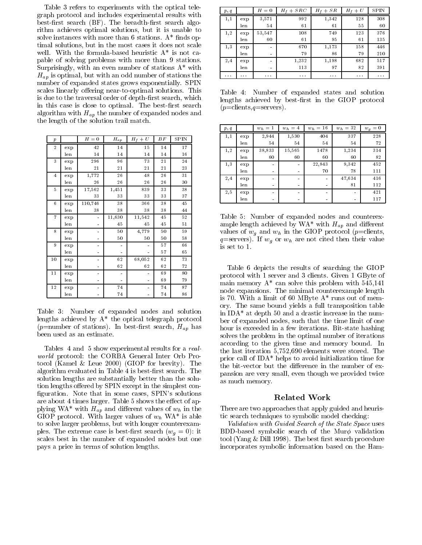Table 3 refers to experiments with the optical telegraph protocol and includes experimental results with best-first search (BF). The breadth-first search algorithm achieves optimal solutions, but it is unable to solve instances with more than 6 stations.  $A^*$  finds optimal solutions, but in the most cases it does not scale well. With the formula-based heuristic  $A^*$  is not capable of solving problems with more than 9 stations. Surprisingly, with an even number of stations  $A^*$  with  $\mathbf{H}_{u}$  is optimal, such with an odd number of stations the stations the stations of  $\mathbf{H}_{u}$ number of expanded states grows exponentially. SPIN scales linearly offering near-to-optimal solutions. This is due to the traversal order of depth-first search, which in this case is close to optimal. The best-first search algorithm with Happy visit the number of the number of the nodes and  $\sim$ the length of the solution trail match.

| $\boldsymbol{p}$ |                  | $H = 0$                      | $H_{a\underline{p}}$ | $H_f+U$     | BF | <b>SPIN</b> |
|------------------|------------------|------------------------------|----------------------|-------------|----|-------------|
| $\,2$            | e <sub>x</sub> p | 42                           | 14                   | 15          | 14 | 17          |
|                  | len              | 14                           | 14                   | 14          | 14 | 16          |
| 3                | exp              | 296                          | 96                   | 73          | 21 | 24          |
|                  | len              | 21                           | 21                   | $2\sqrt{1}$ | 21 | 23          |
| $\overline{4}$   | exp              | 1,772                        | 26                   | 48          | 26 | 31          |
|                  | len              | 26                           | 26                   | 26          | 26 | 30          |
| 5                | exp              | 17,562                       | 1,451                | 839         | 33 | 38          |
|                  | len              | 33                           | 33                   | 33          | 33 | 37          |
| $\overline{6}$   | e <sub>x</sub> p | 110,746                      | 38                   | 366         | 38 | 45          |
|                  | len              | 38                           | 38                   | 38          | 38 | 44          |
| $\overline{7}$   | exp              | $\blacksquare$               | 11,630               | 11,542      | 45 | 52          |
|                  | len              | $\blacksquare$               | 45                   | 45          | 45 | 51          |
| 8                | exp              | $\blacksquare$               | 50                   | 4,779       | 50 | 59          |
|                  | len              | $\blacksquare$               | 50                   | 50          | 50 | 58          |
| 9                | exp              | ۰                            |                      |             | 57 | 66          |
|                  | len              |                              |                      |             | 57 | 65          |
| $10$             | exp              | $\qquad \qquad \blacksquare$ | 62                   | 68,052      | 62 | 73          |
|                  | len              | $\blacksquare$               | 62                   | 62          | 62 | 72          |
| 11               | exp              |                              |                      |             | 69 | 80          |
|                  | len              | $\blacksquare$               |                      |             | 69 | 79          |
| $1\,2$           | exp              |                              | 74                   |             | 74 | 87          |
|                  | len              |                              | 74                   |             | 74 | 86          |

Table 3: Number of expanded nodes and solution lengths achieved by A\* the optical telegraph protocol  $\mathcal{P}$  is defined by the stations of stations of search search, Happy search, Happy search, Happy search, Happy search, Happy search, Happy search, Happy search, Happy search, Happy search, Happy search, Happy search, H been used as an estimate.

Tables 4 and 5 show experimental results for a realworld protocol: the CORBA General Inter Orb Protocol (Kamel  $&$  Leue 2000) (GIOP for brevity). The algorithm evaluated in Table 4 is best-first search. The solution lengths are substantially better than the solution lengths offered by SPIN except in the simplest configuration. Note that in some cases, SPIN's solutions are about 4 times larger. Table 5 shows the effect of ap- $P_{\rm 1}$  and with  $\sim$  with  $H_{\rm 0}$  and directions of which in the set of  $\sim$  $\mathcal{L} = \mathcal{L} = \{ \mathcal{L} \mid \mathcal{L} \in \mathcal{L} \mid \mathcal{L} \in \mathcal{L} \}$  is a probability of which is able to able that is able to able that  $\mathcal{L} = \{ \mathcal{L} \mid \mathcal{L} \in \mathcal{L} \}$ to solve larger problems, but with longer counterexamples. The extreme case is best-cased in the search  $\alpha$  ,  $\alpha$ scales best in the number of expanded nodes but one pays a price in terms of solution lengths.

| p, q     |          | $H = 0$        | $H_f + SRC$ | $H_f + SR$ | $H_f+U$  | <b>SPIN</b> |
|----------|----------|----------------|-------------|------------|----------|-------------|
| 1,1      | exp      | 3,571          | 992         | 1,342      | 128      | 308         |
|          | len      | 54             | 61          | 61         | 55       | 60          |
| 1,2      | exp      | 53,547         | 108         | 749        | 123      | 376         |
|          | len      | 60             | 61          | 95         | 61       | 135         |
| 1,3      | exp      | $\blacksquare$ | 670         | 1,173      | 158      | 446         |
|          | len      | $\blacksquare$ | 79          | 86         | 79       | 210         |
| 2,4      | exp      | $\blacksquare$ | 1,232       | 1,198      | 682      | 517         |
|          | len      | $\blacksquare$ | 113         | 97         | 82       | 391         |
| $\cdots$ | $\cdots$ | $\cdots$       | $\cdots$    | $\cdots$   | $\cdots$ | $\cdots$    |

Table 4: Number of expanded states and solution lengths achieved by best-first in the GIOP protocol  $(p=clients,q=servers).$ 

| p, q |                 | $w_h = 1$                    | $w_h = 4$      | $w_h = 16$                   | $w_h = 32$                   | $w_q=0$ |
|------|-----------------|------------------------------|----------------|------------------------------|------------------------------|---------|
| 1,1  | ex <sub>p</sub> | 2,944                        | 1,530          | 404                          | 337                          | 228     |
|      | len             | 54                           | 54             | 54                           | 54                           | 72      |
| 1,2  | ex <sub>p</sub> | 38,833                       | 15,565         | 1478                         | 1,234                        | 314     |
|      | len             | 60                           | 60             | 60                           | 60                           | 82      |
| 1,3  | ex <sub>p</sub> | $\qquad \qquad \blacksquare$ | $\blacksquare$ | 22,843                       | 9,342                        | 452     |
|      | len             | $\blacksquare$               | $\sim$         | 70                           | 78                           | 111     |
| 2,4  | ex <sub>p</sub> | $\qquad \qquad \blacksquare$ | $\blacksquare$ | $\blacksquare$               | 47,634                       | 416     |
|      | len             | $\blacksquare$               | $\blacksquare$ | $\qquad \qquad \blacksquare$ | 81                           | 112     |
| 2,5  | ex <sub>p</sub> | $\qquad \qquad \blacksquare$ | $\blacksquare$ | $\qquad \qquad \blacksquare$ | $\qquad \qquad \blacksquare$ | 421     |
|      | len             | $\blacksquare$               | $\sim$         | $\qquad \qquad \blacksquare$ | $\qquad \qquad \blacksquare$ | 117     |

Table 5: Number of expanded nodes and counterexand the length according to the May with Happy  $u \mapsto u$  with Ham and dierential distribution  $\mathcal{A}$ values of wg and why in the GIOP protocol  $\gamma$  is consider,  $q = \text{softmax}(t)$ . If when we are not cited then there is value is set to 1.

Table 6 depicts the results of searching the GIOP protocol with 1 server and 3 clients. Given 1 GByte of main memory A\* can solve this problem with 545,141 node expansions. The minimal countered length counterplane lengths in the minimal counterplane in the minimal counter is 70. With a limit of 60 MByte A\* runs out of memory. The same bound yields a full transposition table in IDA\* at depth 50 and a drastic increase in the number of expanded nodes, such that the time limit of one hour is exceeded in a few iterations. Bit-state hashing solves the problem in the optimal number of iterations according to the given time and memory bound. In the last iteration 5,752,690 elements were stored. The prior call of IDA\* helps to avoid initialization time for the bit-vector but the difference in the number of expansion are very small, even though we provided twice as much memory.

## Related Work

There are two approaches that apply guided and heuristic search techniques to symbolic model checking:

Validation with Guided Search of the State Space uses BDD-based symbolic search of the Mur $\phi$  validation tool (Yang  $&$  Dill 1998). The best first search procedure incorporates symbolic information based on the Ham-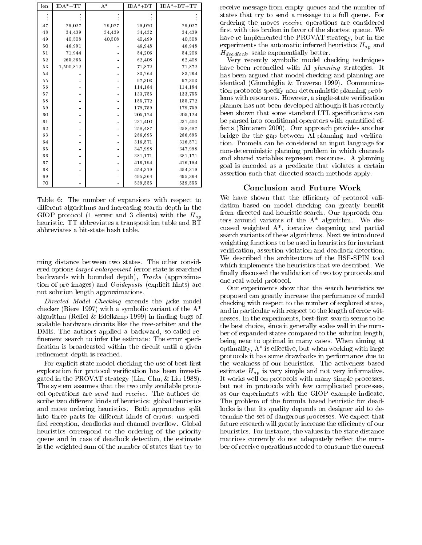| len | $IDA* + TT$ | $\mathbf{A}^*$ | $IDA* + BT$ | $IDA* + BT+ TT$ |
|-----|-------------|----------------|-------------|-----------------|
|     |             |                |             |                 |
|     |             |                |             |                 |
| 47  | 29,027      | 29,027         | 29,020      | 29,027          |
| 48  | 34,439      | 34,439         | 34,432      | 34,439          |
| 49  | 40,508      | 40,508         | 40,499      | 40,508          |
| 50  | 46,991      |                | 46,948      | 46,948          |
| 51  | 71,944      |                | 54,206      | 54,206          |
| 52  | 265,365     |                | 62,408      | 62,408          |
| 53  | 1,500,812   |                | 71,872      | 71,872          |
| 54  |             |                | 83,264      | 83,264          |
| 55  |             |                | 97,303      | 97,303          |
| 56  |             |                | 114,184     | 114,184         |
| 57  |             |                | 133,755     | 133,755         |
| 58  |             |                | 155,772     | 155,772         |
| 59  |             |                | 179,759     | 179,759         |
| 60  |             |                | 205,124     | 205,124         |
| 61  |             |                | 231,400     | 231,400         |
| 62  |             |                | 258,487     | 258,487         |
| 63  |             |                | 286,695     | 286,695         |
| 64  |             |                | 316,571     | 316,571         |
| 65  |             |                | 347,998     | 347,998         |
| 66  |             |                | 381,171     | 381,171         |
| 67  |             |                | 416,194     | 416,194         |
| 68  |             |                | 454,319     | 454,319         |
| 69  |             |                | 495,364     | 495,364         |
| 70  |             |                | 539,555     | 539,555         |

Table 6: The number of expansions with respect to different algorithms and increasing search depth in the GIOP protocol (1 server and 3 clients) with the  $H_{ap}$ heuristic. TT abbreviates a transposition table and BT abbreviates a bit-state hash table.

ming distance between two states. The other considered options target enlargement (error state is searched backwards with bounded depth), Tracks (approximation of pre-images) and Guideposts (explicit hints) are not solution length approximations.

Directed Model Checking extends the ucke model checker (Biere 1997) with a symbolic variant of the A\* algorithm (Reffel  $&$  Edelkamp 1999) in finding bugs of scalable hardware circuits like the tree-arbiter and the DME. The authors applied a backward, so-called re finement search to infer the estimate: The error specification is broadcasted within the circuit until a given refinement depth is reached.

For explicit state model checking the use of best-first exploration for protocol verification has been investigated in the PROVAT strategy (Lin, Chu, & Liu 1988). The system assumes that the two only available protocol operations are send and receive. The authors describe two different kinds of heuristics: global heuristics and move ordering heuristics. Both approaches split into three parts for different kinds of errors: unspecified reception, deadlocks and channel overflow. Global heuristics correspond to the ordering of the priority queue and in case of deadlock detection, the estimate is the weighted sum of the number of states that try to

receive message from empty queues and the number of states that try to send a message to a full queue. For ordering the moves receive operations are considered first with ties broken in favor of the shortest queue. We have re-implemented the PROVAT strategy, but in the experiments the automatic inferred heuristics Hap and  $H_{deadlock'}$  scale exponentially better.

Very recently symbolic model checking techniques have been reconciled with AI planning strategies. It has been argued that model checking and planning are identical (Giunchiglia & Traverso 1999). Communication protocols specify non-deterministic planning problems with resources. However, a single-state verification planner has not been developed although it has recently been shown that some standard LTL specifications can be parsed into conditional operators with quantified effects (Rintanen 2000). Our approach provides another bridge for the gap between AI-planning and verification. Promela can be considered an input language for non-deterministic planning problem in which channels and shared variables represent resources. A planning goal is encoded as a predicate that violates a certain assertion such that directed search methods apply.

#### Conclusion and Future Work

 ters around variants of the A\* algorithm. We dis-We have shown that the efficiency of protocol validation based on model checking can greatly benefit from directed and heuristic search. Our approach cencussed weighted A\*, iterative deepening and partial search variants of these algorithms. Next we introduced weighting functions to be used in heuristics for invariant verification, assertion violation and deadlock detection. We described the architecture of the HSF-SPIN tool which implements the heuristics that we described. We finally discussed the validation of two toy protocols and one real world protocol.

Our experiments show that the search heuristics we proposed can greatly increase the perfomance of model checking with respect to the number of explored states, and in particular with respect to the length of error witnesses. In the experiments, best-first search seems to be the best choice, since it generally scales well in the number of expanded states compared to the solution length, being near to optimal in many cases. When aiming at optimality,  $A^*$  is effective, but when working with large protocols it has some drawbacks in performance due to the weakness of our heuristics. The activeness based estimate Hap is very simple and not very informative. It works well on protocols with many simple processes, but not in protocols with few complicated processes, as our experiments with the GIOP example indicate. The problem of the formula based heuristic for deadlocks is that its quality depends on designer aid to determine the set of dangerous processes. We expect that future research will greatly increase the efficiency of our heuristics. For instance, the values in the state distance matrices currently do not adequately reflect the number of receive operations needed to consume the current